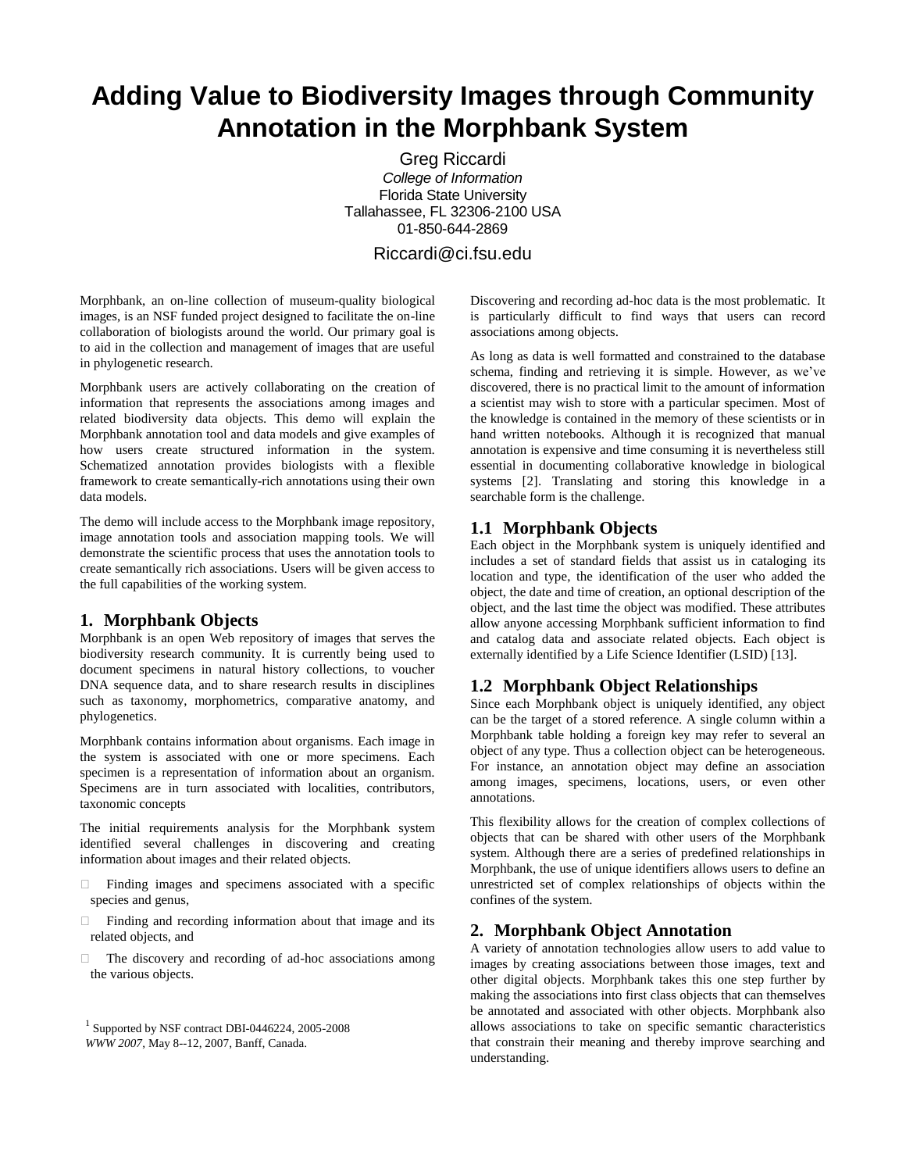# **Adding Value to Biodiversity Images through Community Annotation in the Morphbank System**

Greg Riccardi *College of Information* Florida State University Tallahassee, FL 32306-2100 USA 01-850-644-2869

## Riccardi@ci.fsu.edu

Morphbank, an on-line collection of museum-quality biological images, is an NSF funded project designed to facilitate the on-line collaboration of biologists around the world. Our primary goal is to aid in the collection and management of images that are useful in phylogenetic research.

Morphbank users are actively collaborating on the creation of information that represents the associations among images and related biodiversity data objects. This demo will explain the Morphbank annotation tool and data models and give examples of how users create structured information in the system. Schematized annotation provides biologists with a flexible framework to create semantically-rich annotations using their own data models.

The demo will include access to the Morphbank image repository, image annotation tools and association mapping tools. We will demonstrate the scientific process that uses the annotation tools to create semantically rich associations. Users will be given access to the full capabilities of the working system.

#### **1. Morphbank Objects**

Morphbank is an open Web repository of images that serves the biodiversity research community. It is currently being used to document specimens in natural history collections, to voucher DNA sequence data, and to share research results in disciplines such as taxonomy, morphometrics, comparative anatomy, and phylogenetics.

Morphbank contains information about organisms. Each image in the system is associated with one or more specimens. Each specimen is a representation of information about an organism. Specimens are in turn associated with localities, contributors, taxonomic concepts

The initial requirements analysis for the Morphbank system identified several challenges in discovering and creating information about images and their related objects.

- $\Box$  Finding images and specimens associated with a specific species and genus,
- Finding and recording information about that image and its related objects, and
- $\Box$  The discovery and recording of ad-hoc associations among the various objects.

Discovering and recording ad-hoc data is the most problematic. It is particularly difficult to find ways that users can record associations among objects.

As long as data is well formatted and constrained to the database schema, finding and retrieving it is simple. However, as we've discovered, there is no practical limit to the amount of information a scientist may wish to store with a particular specimen. Most of the knowledge is contained in the memory of these scientists or in hand written notebooks. Although it is recognized that manual annotation is expensive and time consuming it is nevertheless still essential in documenting collaborative knowledge in biological systems [2]. Translating and storing this knowledge in a searchable form is the challenge.

# **1.1 Morphbank Objects**

Each object in the Morphbank system is uniquely identified and includes a set of standard fields that assist us in cataloging its location and type, the identification of the user who added the object, the date and time of creation, an optional description of the object, and the last time the object was modified. These attributes allow anyone accessing Morphbank sufficient information to find and catalog data and associate related objects. Each object is externally identified by a Life Science Identifier (LSID) [13].

# **1.2 Morphbank Object Relationships**

Since each Morphbank object is uniquely identified, any object can be the target of a stored reference. A single column within a Morphbank table holding a foreign key may refer to several an object of any type. Thus a collection object can be heterogeneous. For instance, an annotation object may define an association among images, specimens, locations, users, or even other annotations.

This flexibility allows for the creation of complex collections of objects that can be shared with other users of the Morphbank system. Although there are a series of predefined relationships in Morphbank, the use of unique identifiers allows users to define an unrestricted set of complex relationships of objects within the confines of the system.

# **2. Morphbank Object Annotation**

A variety of annotation technologies allow users to add value to images by creating associations between those images, text and other digital objects. Morphbank takes this one step further by making the associations into first class objects that can themselves be annotated and associated with other objects. Morphbank also allows associations to take on specific semantic characteristics that constrain their meaning and thereby improve searching and understanding.

<sup>1</sup> Supported by NSF contract DBI-0446224, 2005-2008 *WWW 2007*, May 8--12, 2007, Banff, Canada.